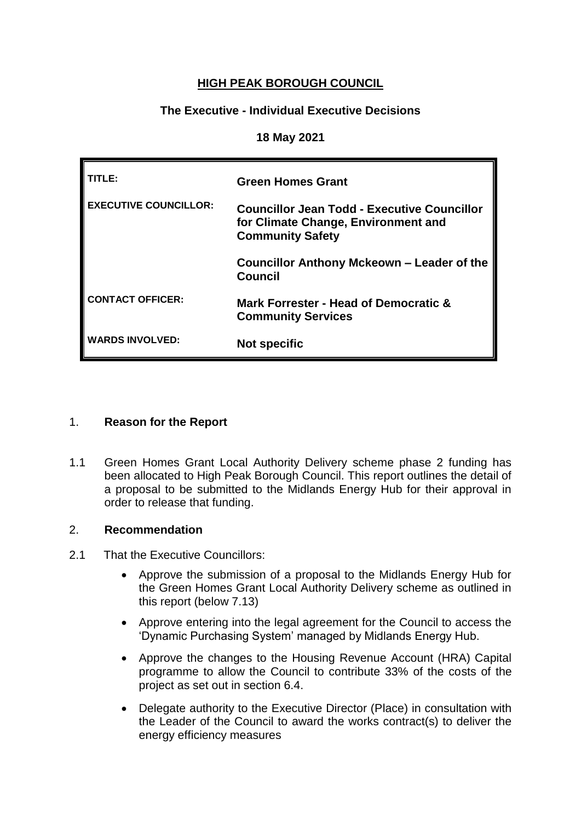# **HIGH PEAK BOROUGH COUNCIL**

# **The Executive - Individual Executive Decisions**

#### **18 May 2021**

| TITLE:                       | <b>Green Homes Grant</b>                                                                                      |
|------------------------------|---------------------------------------------------------------------------------------------------------------|
| <b>EXECUTIVE COUNCILLOR:</b> | Councillor Jean Todd - Executive Councillor<br>for Climate Change, Environment and<br><b>Community Safety</b> |
|                              | Councillor Anthony Mckeown – Leader of the<br><b>Council</b>                                                  |
| <b>CONTACT OFFICER:</b>      | Mark Forrester - Head of Democratic &<br><b>Community Services</b>                                            |
| <b>WARDS INVOLVED:</b>       | <b>Not specific</b>                                                                                           |

### 1. **Reason for the Report**

1.1 Green Homes Grant Local Authority Delivery scheme phase 2 funding has been allocated to High Peak Borough Council. This report outlines the detail of a proposal to be submitted to the Midlands Energy Hub for their approval in order to release that funding.

### 2. **Recommendation**

- 2.1 That the Executive Councillors:
	- Approve the submission of a proposal to the Midlands Energy Hub for the Green Homes Grant Local Authority Delivery scheme as outlined in this report (below 7.13)
	- Approve entering into the legal agreement for the Council to access the 'Dynamic Purchasing System' managed by Midlands Energy Hub.
	- Approve the changes to the Housing Revenue Account (HRA) Capital programme to allow the Council to contribute 33% of the costs of the project as set out in section 6.4.
	- Delegate authority to the Executive Director (Place) in consultation with the Leader of the Council to award the works contract(s) to deliver the energy efficiency measures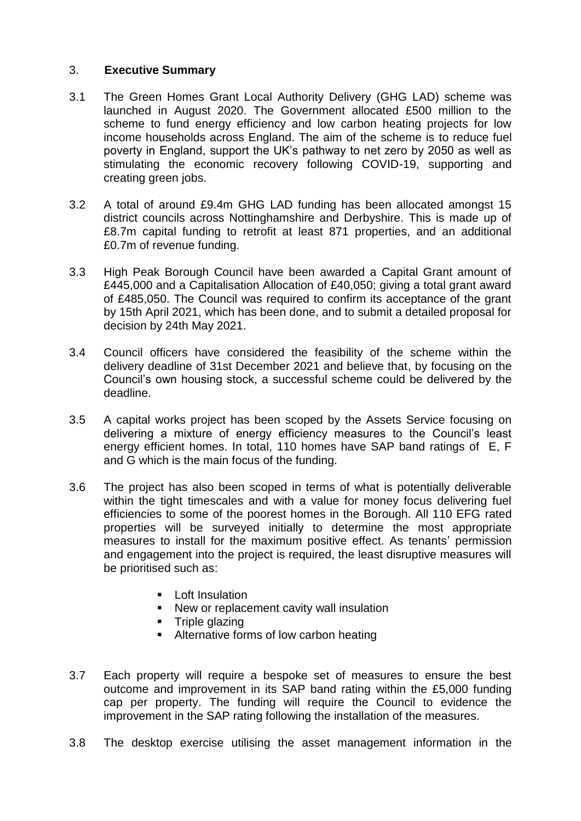## 3. **Executive Summary**

- 3.1 The Green Homes Grant Local Authority Delivery (GHG LAD) scheme was launched in August 2020. The Government allocated £500 million to the scheme to fund energy efficiency and low carbon heating projects for low income households across England. The aim of the scheme is to reduce fuel poverty in England, support the UK's pathway to net zero by 2050 as well as stimulating the economic recovery following COVID-19, supporting and creating green jobs.
- 3.2 A total of around £9.4m GHG LAD funding has been allocated amongst 15 district councils across Nottinghamshire and Derbyshire. This is made up of £8.7m capital funding to retrofit at least 871 properties, and an additional £0.7m of revenue funding.
- 3.3 High Peak Borough Council have been awarded a Capital Grant amount of £445,000 and a Capitalisation Allocation of £40,050; giving a total grant award of £485,050. The Council was required to confirm its acceptance of the grant by 15th April 2021, which has been done, and to submit a detailed proposal for decision by 24th May 2021.
- 3.4 Council officers have considered the feasibility of the scheme within the delivery deadline of 31st December 2021 and believe that, by focusing on the Council's own housing stock, a successful scheme could be delivered by the deadline.
- 3.5 A capital works project has been scoped by the Assets Service focusing on delivering a mixture of energy efficiency measures to the Council's least energy efficient homes. In total, 110 homes have SAP band ratings of E, F and G which is the main focus of the funding.
- 3.6 The project has also been scoped in terms of what is potentially deliverable within the tight timescales and with a value for money focus delivering fuel efficiencies to some of the poorest homes in the Borough. All 110 EFG rated properties will be surveyed initially to determine the most appropriate measures to install for the maximum positive effect. As tenants' permission and engagement into the project is required, the least disruptive measures will be prioritised such as:
	- $\blacksquare$  Loft Insulation
	- New or replacement cavity wall insulation
	- **Triple glazing**
	- Alternative forms of low carbon heating
- 3.7 Each property will require a bespoke set of measures to ensure the best outcome and improvement in its SAP band rating within the £5,000 funding cap per property. The funding will require the Council to evidence the improvement in the SAP rating following the installation of the measures.
- 3.8 The desktop exercise utilising the asset management information in the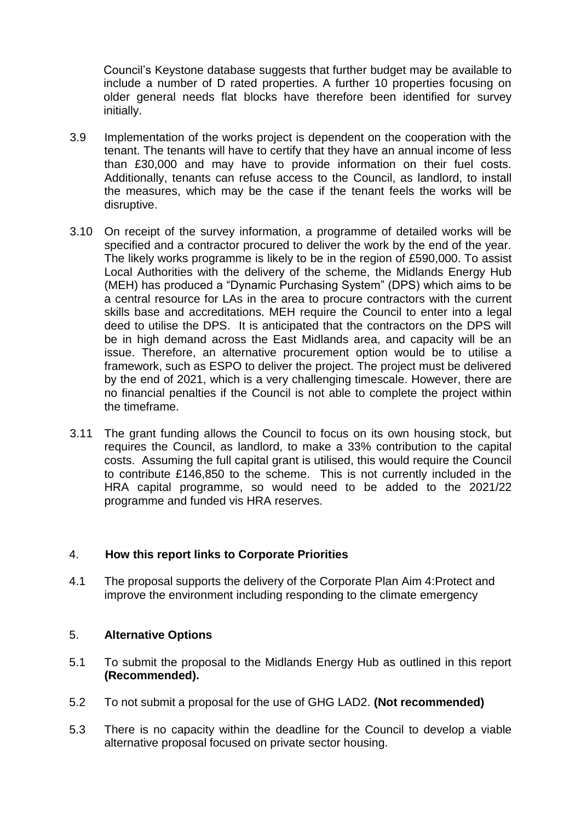Council's Keystone database suggests that further budget may be available to include a number of D rated properties. A further 10 properties focusing on older general needs flat blocks have therefore been identified for survey initially.

- 3.9 Implementation of the works project is dependent on the cooperation with the tenant. The tenants will have to certify that they have an annual income of less than £30,000 and may have to provide information on their fuel costs. Additionally, tenants can refuse access to the Council, as landlord, to install the measures, which may be the case if the tenant feels the works will be disruptive.
- 3.10 On receipt of the survey information, a programme of detailed works will be specified and a contractor procured to deliver the work by the end of the year. The likely works programme is likely to be in the region of £590,000. To assist Local Authorities with the delivery of the scheme, the Midlands Energy Hub (MEH) has produced a "Dynamic Purchasing System" (DPS) which aims to be a central resource for LAs in the area to procure contractors with the current skills base and accreditations. MEH require the Council to enter into a legal deed to utilise the DPS. It is anticipated that the contractors on the DPS will be in high demand across the East Midlands area, and capacity will be an issue. Therefore, an alternative procurement option would be to utilise a framework, such as ESPO to deliver the project. The project must be delivered by the end of 2021, which is a very challenging timescale. However, there are no financial penalties if the Council is not able to complete the project within the timeframe.
- 3.11 The grant funding allows the Council to focus on its own housing stock, but requires the Council, as landlord, to make a 33% contribution to the capital costs. Assuming the full capital grant is utilised, this would require the Council to contribute £146,850 to the scheme. This is not currently included in the HRA capital programme, so would need to be added to the 2021/22 programme and funded vis HRA reserves.

### 4. **How this report links to Corporate Priorities**

4.1 The proposal supports the delivery of the Corporate Plan Aim 4:Protect and improve the environment including responding to the climate emergency

### 5. **Alternative Options**

- 5.1 To submit the proposal to the Midlands Energy Hub as outlined in this report **(Recommended).**
- 5.2 To not submit a proposal for the use of GHG LAD2. **(Not recommended)**
- 5.3 There is no capacity within the deadline for the Council to develop a viable alternative proposal focused on private sector housing.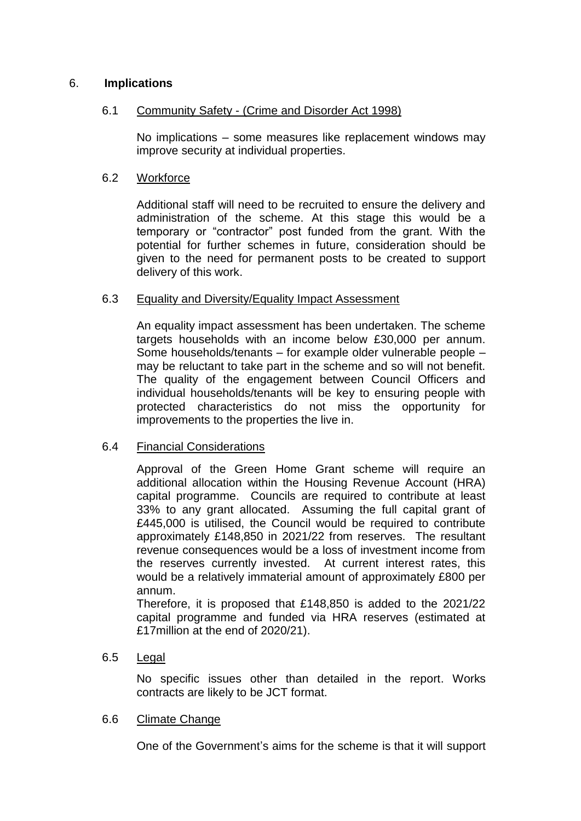# 6. **Implications**

### 6.1 Community Safety - (Crime and Disorder Act 1998)

No implications – some measures like replacement windows may improve security at individual properties.

### 6.2 Workforce

Additional staff will need to be recruited to ensure the delivery and administration of the scheme. At this stage this would be a temporary or "contractor" post funded from the grant. With the potential for further schemes in future, consideration should be given to the need for permanent posts to be created to support delivery of this work.

### 6.3 Equality and Diversity/Equality Impact Assessment

An equality impact assessment has been undertaken. The scheme targets households with an income below £30,000 per annum. Some households/tenants – for example older vulnerable people – may be reluctant to take part in the scheme and so will not benefit. The quality of the engagement between Council Officers and individual households/tenants will be key to ensuring people with protected characteristics do not miss the opportunity for improvements to the properties the live in.

### 6.4 Financial Considerations

Approval of the Green Home Grant scheme will require an additional allocation within the Housing Revenue Account (HRA) capital programme. Councils are required to contribute at least 33% to any grant allocated. Assuming the full capital grant of £445,000 is utilised, the Council would be required to contribute approximately £148,850 in 2021/22 from reserves. The resultant revenue consequences would be a loss of investment income from the reserves currently invested. At current interest rates, this would be a relatively immaterial amount of approximately £800 per annum.

Therefore, it is proposed that £148,850 is added to the 2021/22 capital programme and funded via HRA reserves (estimated at £17million at the end of 2020/21).

### 6.5 Legal

No specific issues other than detailed in the report. Works contracts are likely to be JCT format.

### 6.6 Climate Change

One of the Government's aims for the scheme is that it will support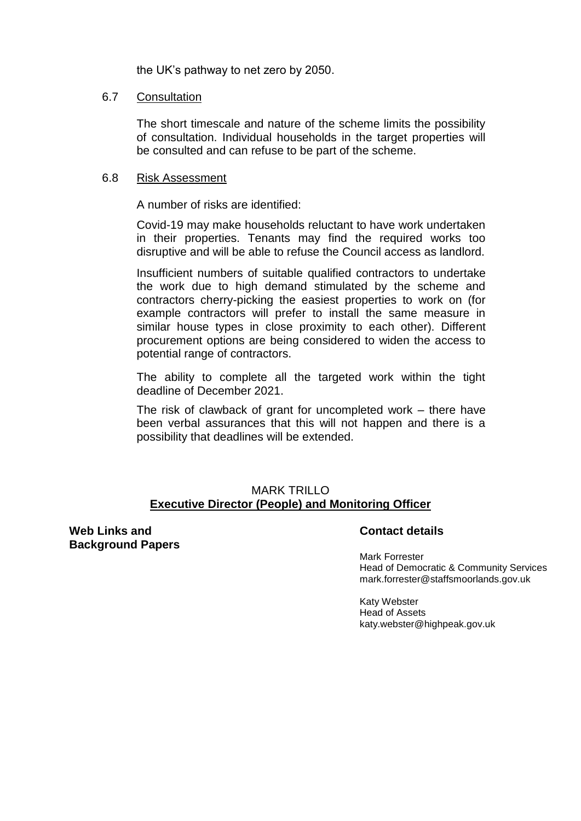the UK's pathway to net zero by 2050.

#### 6.7 Consultation

The short timescale and nature of the scheme limits the possibility of consultation. Individual households in the target properties will be consulted and can refuse to be part of the scheme.

#### 6.8 Risk Assessment

A number of risks are identified:

Covid-19 may make households reluctant to have work undertaken in their properties. Tenants may find the required works too disruptive and will be able to refuse the Council access as landlord.

Insufficient numbers of suitable qualified contractors to undertake the work due to high demand stimulated by the scheme and contractors cherry-picking the easiest properties to work on (for example contractors will prefer to install the same measure in similar house types in close proximity to each other). Different procurement options are being considered to widen the access to potential range of contractors.

The ability to complete all the targeted work within the tight deadline of December 2021.

The risk of clawback of grant for uncompleted work – there have been verbal assurances that this will not happen and there is a possibility that deadlines will be extended.

### MARK TRILLO **Executive Director (People) and Monitoring Officer**

**Web Links and Background Papers**

### **Contact details**

Mark Forrester Head of Democratic & Community Services mark.forrester@staffsmoorlands.gov.uk

Katy Webster Head of Assets katy.webster@highpeak.gov.uk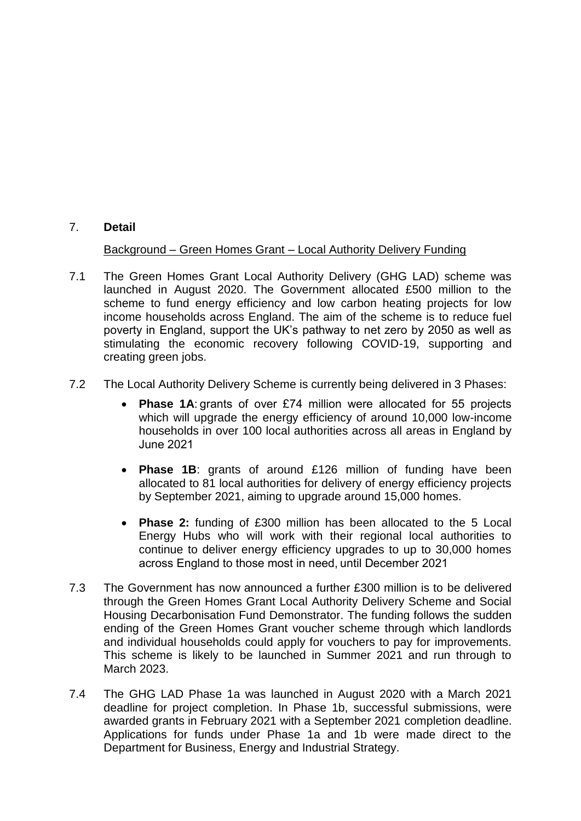### 7. **Detail**

# Background – Green Homes Grant – Local Authority Delivery Funding

- 7.1 The Green Homes Grant Local Authority Delivery (GHG LAD) scheme was launched in August 2020. The Government allocated £500 million to the scheme to fund energy efficiency and low carbon heating projects for low income households across England. The aim of the scheme is to reduce fuel poverty in England, support the UK's pathway to net zero by 2050 as well as stimulating the economic recovery following COVID-19, supporting and creating green jobs.
- 7.2 The Local Authority Delivery Scheme is currently being delivered in 3 Phases:
	- **Phase 1A**: grants of over £74 million were allocated for 55 projects which will upgrade the energy efficiency of around 10,000 low-income households in over 100 local authorities across all areas in England by June 2021
	- **Phase 1B**: grants of around £126 million of funding have been allocated to 81 local authorities for delivery of energy efficiency projects by September 2021, aiming to upgrade around 15,000 homes.
	- **Phase 2:** funding of £300 million has been allocated to the 5 Local Energy Hubs who will work with their regional local authorities to continue to deliver energy efficiency upgrades to up to 30,000 homes across England to those most in need, until December 2021
- 7.3 The Government has now announced a further £300 million is to be delivered through the Green Homes Grant Local Authority Delivery Scheme and Social Housing Decarbonisation Fund Demonstrator. The funding follows the sudden ending of the Green Homes Grant voucher scheme through which landlords and individual households could apply for vouchers to pay for improvements. This scheme is likely to be launched in Summer 2021 and run through to March 2023.
- 7.4 The GHG LAD Phase 1a was launched in August 2020 with a March 2021 deadline for project completion. In Phase 1b, successful submissions, were awarded grants in February 2021 with a September 2021 completion deadline. Applications for funds under Phase 1a and 1b were made direct to the Department for Business, Energy and Industrial Strategy.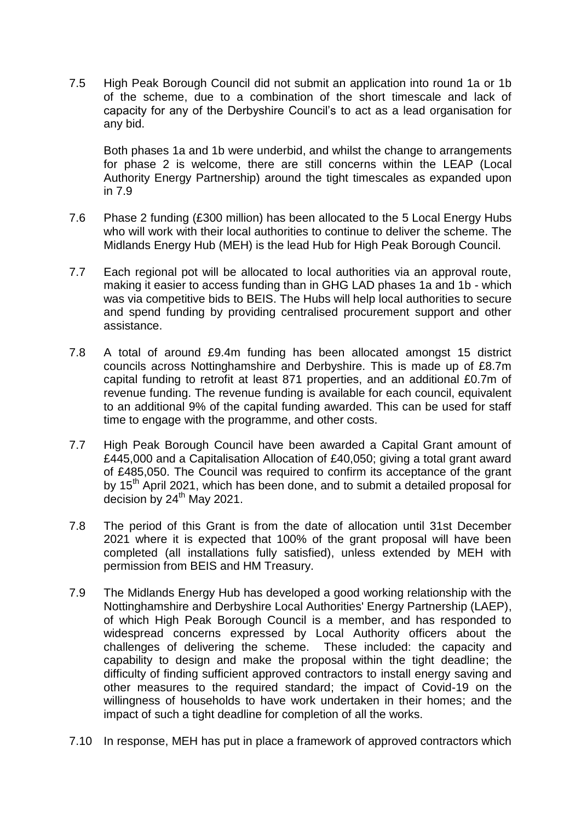7.5 High Peak Borough Council did not submit an application into round 1a or 1b of the scheme, due to a combination of the short timescale and lack of capacity for any of the Derbyshire Council's to act as a lead organisation for any bid.

Both phases 1a and 1b were underbid, and whilst the change to arrangements for phase 2 is welcome, there are still concerns within the LEAP (Local Authority Energy Partnership) around the tight timescales as expanded upon in 7.9

- 7.6 Phase 2 funding (£300 million) has been allocated to the 5 Local Energy Hubs who will work with their local authorities to continue to deliver the scheme. The Midlands Energy Hub (MEH) is the lead Hub for High Peak Borough Council.
- 7.7 Each regional pot will be allocated to local authorities via an approval route, making it easier to access funding than in GHG LAD phases 1a and 1b - which was via competitive bids to BEIS. The Hubs will help local authorities to secure and spend funding by providing centralised procurement support and other assistance.
- 7.8 A total of around £9.4m funding has been allocated amongst 15 district councils across Nottinghamshire and Derbyshire. This is made up of £8.7m capital funding to retrofit at least 871 properties, and an additional £0.7m of revenue funding. The revenue funding is available for each council, equivalent to an additional 9% of the capital funding awarded. This can be used for staff time to engage with the programme, and other costs.
- 7.7 High Peak Borough Council have been awarded a Capital Grant amount of £445,000 and a Capitalisation Allocation of £40,050; giving a total grant award of £485,050. The Council was required to confirm its acceptance of the grant by 15<sup>th</sup> April 2021, which has been done, and to submit a detailed proposal for decision by 24<sup>th</sup> May 2021.
- 7.8 The period of this Grant is from the date of allocation until 31st December 2021 where it is expected that 100% of the grant proposal will have been completed (all installations fully satisfied), unless extended by MEH with permission from BEIS and HM Treasury.
- 7.9 The Midlands Energy Hub has developed a good working relationship with the Nottinghamshire and Derbyshire Local Authorities' Energy Partnership (LAEP), of which High Peak Borough Council is a member, and has responded to widespread concerns expressed by Local Authority officers about the challenges of delivering the scheme. These included: the capacity and capability to design and make the proposal within the tight deadline; the difficulty of finding sufficient approved contractors to install energy saving and other measures to the required standard; the impact of Covid-19 on the willingness of households to have work undertaken in their homes; and the impact of such a tight deadline for completion of all the works.
- 7.10 In response, MEH has put in place a framework of approved contractors which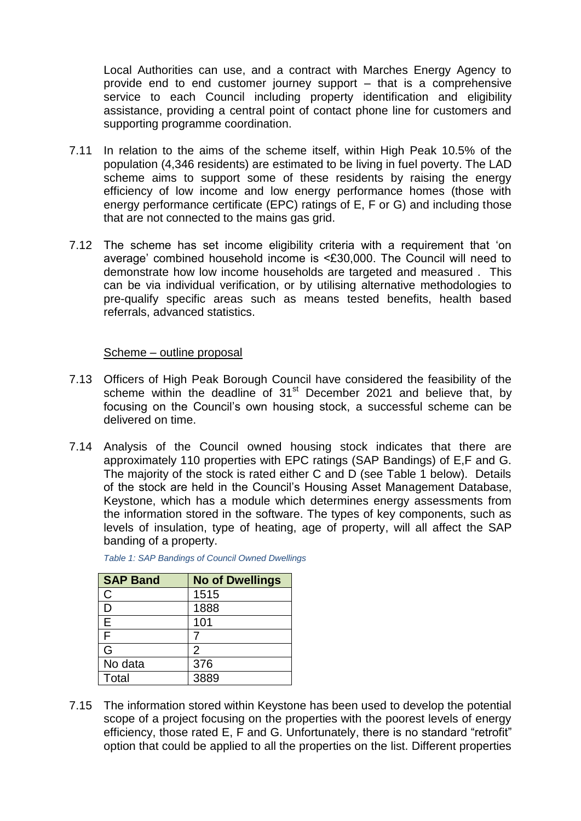Local Authorities can use, and a contract with Marches Energy Agency to provide end to end customer journey support – that is a comprehensive service to each Council including property identification and eligibility assistance, providing a central point of contact phone line for customers and supporting programme coordination.

- 7.11 In relation to the aims of the scheme itself, within High Peak 10.5% of the population (4,346 residents) are estimated to be living in fuel poverty. The LAD scheme aims to support some of these residents by raising the energy efficiency of low income and low energy performance homes (those with energy performance certificate (EPC) ratings of E, F or G) and including those that are not connected to the mains gas grid.
- 7.12 The scheme has set income eligibility criteria with a requirement that 'on average' combined household income is <£30,000. The Council will need to demonstrate how low income households are targeted and measured . This can be via individual verification, or by utilising alternative methodologies to pre-qualify specific areas such as means tested benefits, health based referrals, advanced statistics.

#### Scheme – outline proposal

- 7.13 Officers of High Peak Borough Council have considered the feasibility of the scheme within the deadline of 31<sup>st</sup> December 2021 and believe that, by focusing on the Council's own housing stock, a successful scheme can be delivered on time.
- 7.14 Analysis of the Council owned housing stock indicates that there are approximately 110 properties with EPC ratings (SAP Bandings) of E,F and G. The majority of the stock is rated either C and D (see Table 1 below). Details of the stock are held in the Council's Housing Asset Management Database, Keystone, which has a module which determines energy assessments from the information stored in the software. The types of key components, such as levels of insulation, type of heating, age of property, will all affect the SAP banding of a property.

| <b>SAP Band</b> | <b>No of Dwellings</b> |
|-----------------|------------------------|
| $\mathsf{C}$    | 1515                   |
| D               | 1888                   |
| E               | 101                    |
| F               |                        |
| G               | 2                      |
| No data         | 376                    |
| Total           | 3889                   |

*Table 1: SAP Bandings of Council Owned Dwellings*

7.15 The information stored within Keystone has been used to develop the potential scope of a project focusing on the properties with the poorest levels of energy efficiency, those rated E, F and G. Unfortunately, there is no standard "retrofit" option that could be applied to all the properties on the list. Different properties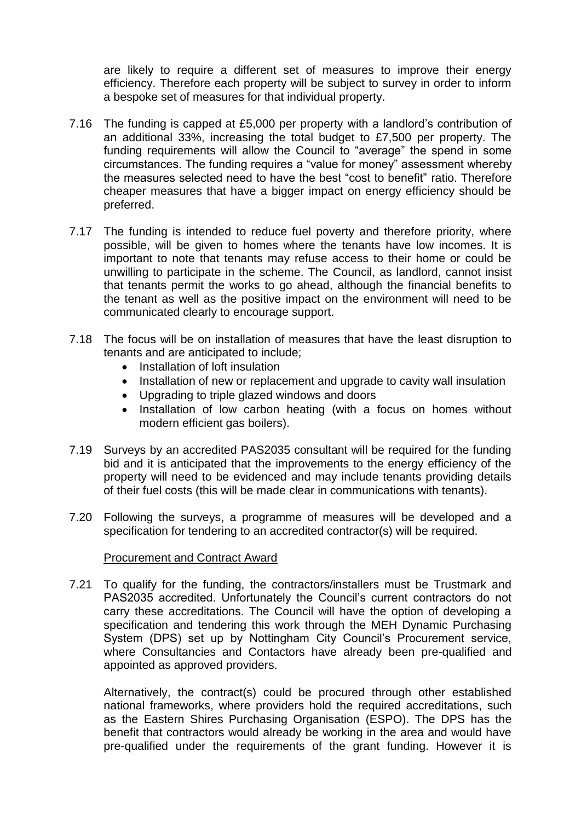are likely to require a different set of measures to improve their energy efficiency. Therefore each property will be subject to survey in order to inform a bespoke set of measures for that individual property.

- 7.16 The funding is capped at £5,000 per property with a landlord's contribution of an additional 33%, increasing the total budget to £7,500 per property. The funding requirements will allow the Council to "average" the spend in some circumstances. The funding requires a "value for money" assessment whereby the measures selected need to have the best "cost to benefit" ratio. Therefore cheaper measures that have a bigger impact on energy efficiency should be preferred.
- 7.17 The funding is intended to reduce fuel poverty and therefore priority, where possible, will be given to homes where the tenants have low incomes. It is important to note that tenants may refuse access to their home or could be unwilling to participate in the scheme. The Council, as landlord, cannot insist that tenants permit the works to go ahead, although the financial benefits to the tenant as well as the positive impact on the environment will need to be communicated clearly to encourage support.
- 7.18 The focus will be on installation of measures that have the least disruption to tenants and are anticipated to include;
	- Installation of loft insulation
	- Installation of new or replacement and upgrade to cavity wall insulation
	- Upgrading to triple glazed windows and doors
	- Installation of low carbon heating (with a focus on homes without modern efficient gas boilers).
- 7.19 Surveys by an accredited PAS2035 consultant will be required for the funding bid and it is anticipated that the improvements to the energy efficiency of the property will need to be evidenced and may include tenants providing details of their fuel costs (this will be made clear in communications with tenants).
- 7.20 Following the surveys, a programme of measures will be developed and a specification for tendering to an accredited contractor(s) will be required.

### Procurement and Contract Award

7.21 To qualify for the funding, the contractors/installers must be Trustmark and PAS2035 accredited. Unfortunately the Council's current contractors do not carry these accreditations. The Council will have the option of developing a specification and tendering this work through the MEH Dynamic Purchasing System (DPS) set up by Nottingham City Council's Procurement service, where Consultancies and Contactors have already been pre-qualified and appointed as approved providers.

Alternatively, the contract(s) could be procured through other established national frameworks, where providers hold the required accreditations, such as the Eastern Shires Purchasing Organisation (ESPO). The DPS has the benefit that contractors would already be working in the area and would have pre-qualified under the requirements of the grant funding. However it is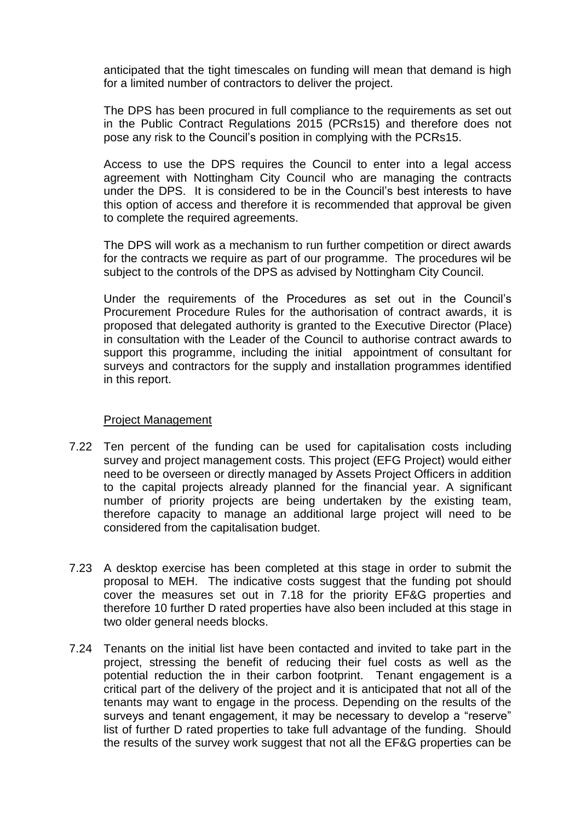anticipated that the tight timescales on funding will mean that demand is high for a limited number of contractors to deliver the project.

The DPS has been procured in full compliance to the requirements as set out in the Public Contract Regulations 2015 (PCRs15) and therefore does not pose any risk to the Council's position in complying with the PCRs15.

Access to use the DPS requires the Council to enter into a legal access agreement with Nottingham City Council who are managing the contracts under the DPS. It is considered to be in the Council's best interests to have this option of access and therefore it is recommended that approval be given to complete the required agreements.

The DPS will work as a mechanism to run further competition or direct awards for the contracts we require as part of our programme. The procedures wil be subject to the controls of the DPS as advised by Nottingham City Council.

Under the requirements of the Procedures as set out in the Council's Procurement Procedure Rules for the authorisation of contract awards, it is proposed that delegated authority is granted to the Executive Director (Place) in consultation with the Leader of the Council to authorise contract awards to support this programme, including the initial appointment of consultant for surveys and contractors for the supply and installation programmes identified in this report.

#### Project Management

- 7.22 Ten percent of the funding can be used for capitalisation costs including survey and project management costs. This project (EFG Project) would either need to be overseen or directly managed by Assets Project Officers in addition to the capital projects already planned for the financial year. A significant number of priority projects are being undertaken by the existing team, therefore capacity to manage an additional large project will need to be considered from the capitalisation budget.
- 7.23 A desktop exercise has been completed at this stage in order to submit the proposal to MEH. The indicative costs suggest that the funding pot should cover the measures set out in 7.18 for the priority EF&G properties and therefore 10 further D rated properties have also been included at this stage in two older general needs blocks.
- 7.24 Tenants on the initial list have been contacted and invited to take part in the project, stressing the benefit of reducing their fuel costs as well as the potential reduction the in their carbon footprint. Tenant engagement is a critical part of the delivery of the project and it is anticipated that not all of the tenants may want to engage in the process. Depending on the results of the surveys and tenant engagement, it may be necessary to develop a "reserve" list of further D rated properties to take full advantage of the funding. Should the results of the survey work suggest that not all the EF&G properties can be